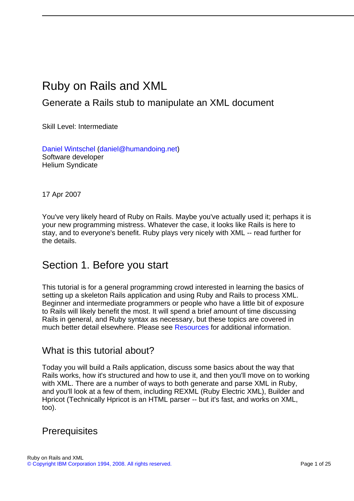# Ruby on Rails and XML

## Generate a Rails stub to manipulate an XML document

Skill Level: Intermediate

[Daniel Wintschel](#page-23-0) ([daniel@humandoing.net\)](mailto:daniel@humandoing.net) Software developer Helium Syndicate

17 Apr 2007

You've very likely heard of Ruby on Rails. Maybe you've actually used it; perhaps it is your new programming mistress. Whatever the case, it looks like Rails is here to stay, and to everyone's benefit. Ruby plays very nicely with XML -- read further for the details.

## Section 1. Before you start

This tutorial is for a general programming crowd interested in learning the basics of setting up a skeleton Rails application and using Ruby and Rails to process XML. Beginner and intermediate programmers or people who have a little bit of exposure to Rails will likely benefit the most. It will spend a brief amount of time discussing Rails in general, and Ruby syntax as necessary, but these topics are covered in much better detail elsewhere. Please see [Resources](#page-22-0) for additional information.

### What is this tutorial about?

Today you will build a Rails application, discuss some basics about the way that Rails works, how it's structured and how to use it, and then you'll move on to working with XML. There are a number of ways to both generate and parse XML in Ruby, and you'll look at a few of them, including REXML (Ruby Electric XML), Builder and Hpricot (Technically Hpricot is an HTML parser -- but it's fast, and works on XML, too).

### **Prerequisites**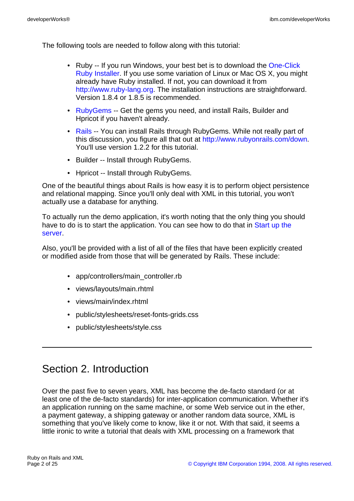The following tools are needed to follow along with this tutorial:

- Ruby -- If you run Windows, your best bet is to download the [One-Click](http://rubyforge.org/projects/rubyinstaller/) [Ruby Installer.](http://rubyforge.org/projects/rubyinstaller/) If you use some variation of Linux or Mac OS X, you might already have Ruby installed. If not, you can download it from [http://www.ruby-lang.org.](http://www.ruby-lang.org) The installation instructions are straightforward. Version 1.8.4 or 1.8.5 is recommended.
- [RubyGems](http://www.rubygems.org) -- Get the gems you need, and install Rails, Builder and Hpricot if you haven't already.
- [Rails](http://www.rubyonrails.com) -- You can install Rails through RubyGems. While not really part of this discussion, you figure all that out at <http://www.rubyonrails.com/down>. You'll use version 1.2.2 for this tutorial.
- Builder -- Install through RubyGems.
- Hpricot -- Install through RubyGems.

One of the beautiful things about Rails is how easy it is to perform object persistence and relational mapping. Since you'll only deal with XML in this tutorial, you won't actually use a database for anything.

To actually run the demo application, it's worth noting that the only thing you should have to do is to start the application. You can see how to do that in [Start up the](#page-6-0) [server](#page-6-0).

Also, you'll be provided with a list of all of the files that have been explicitly created or modified aside from those that will be generated by Rails. These include:

- app/controllers/main\_controller.rb
- views/layouts/main.rhtml
- views/main/index.rhtml
- public/stylesheets/reset-fonts-grids.css
- public/stylesheets/style.css

## Section 2. Introduction

Over the past five to seven years, XML has become the de-facto standard (or at least one of the de-facto standards) for inter-application communication. Whether it's an application running on the same machine, or some Web service out in the ether, a payment gateway, a shipping gateway or another random data source, XML is something that you've likely come to know, like it or not. With that said, it seems a little ironic to write a tutorial that deals with XML processing on a framework that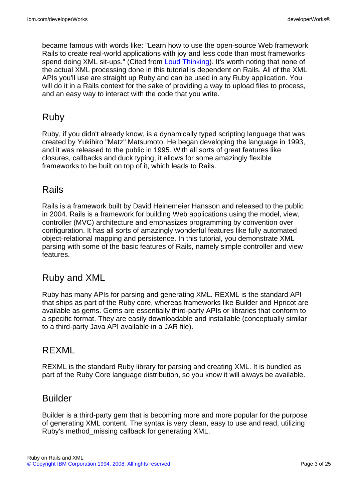became famous with words like: "Learn how to use the open-source Web framework Rails to create real-world applications with joy and less code than most frameworks spend doing XML sit-ups." (Cited from [Loud Thinking\)](http://www.loudthinking.com/arc/000416.html). It's worth noting that none of the actual XML processing done in this tutorial is dependent on Rails. All of the XML APIs you'll use are straight up Ruby and can be used in any Ruby application. You will do it in a Rails context for the sake of providing a way to upload files to process, and an easy way to interact with the code that you write.

## Ruby

Ruby, if you didn't already know, is a dynamically typed scripting language that was created by Yukihiro "Matz" Matsumoto. He began developing the language in 1993, and it was released to the public in 1995. With all sorts of great features like closures, callbacks and duck typing, it allows for some amazingly flexible frameworks to be built on top of it, which leads to Rails.

## Rails

Rails is a framework built by David Heinemeier Hansson and released to the public in 2004. Rails is a framework for building Web applications using the model, view, controller (MVC) architecture and emphasizes programming by convention over configuration. It has all sorts of amazingly wonderful features like fully automated object-relational mapping and persistence. In this tutorial, you demonstrate XML parsing with some of the basic features of Rails, namely simple controller and view features.

## Ruby and XML

Ruby has many APIs for parsing and generating XML. REXML is the standard API that ships as part of the Ruby core, whereas frameworks like Builder and Hpricot are available as gems. Gems are essentially third-party APIs or libraries that conform to a specific format. They are easily downloadable and installable (conceptually similar to a third-party Java API available in a JAR file).

## REXML

REXML is the standard Ruby library for parsing and creating XML. It is bundled as part of the Ruby Core language distribution, so you know it will always be available.

## Builder

Builder is a third-party gem that is becoming more and more popular for the purpose of generating XML content. The syntax is very clean, easy to use and read, utilizing Ruby's method\_missing callback for generating XML.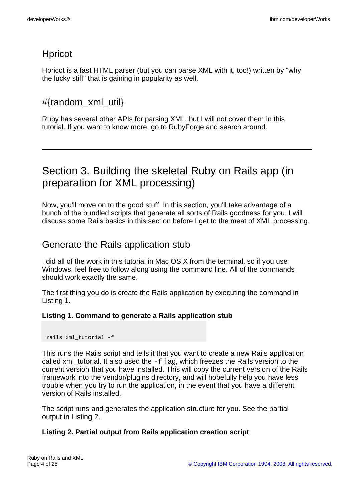## Hpricot

Hpricot is a fast HTML parser (but you can parse XML with it, too!) written by "why the lucky stiff" that is gaining in popularity as well.

## #{random\_xml\_util}

Ruby has several other APIs for parsing XML, but I will not cover them in this tutorial. If you want to know more, go to RubyForge and search around.

# Section 3. Building the skeletal Ruby on Rails app (in preparation for XML processing)

Now, you'll move on to the good stuff. In this section, you'll take advantage of a bunch of the bundled scripts that generate all sorts of Rails goodness for you. I will discuss some Rails basics in this section before I get to the meat of XML processing.

## Generate the Rails application stub

I did all of the work in this tutorial in Mac OS X from the terminal, so if you use Windows, feel free to follow along using the command line. All of the commands should work exactly the same.

The first thing you do is create the Rails application by executing the command in Listing 1.

#### **Listing 1. Command to generate a Rails application stub**

rails xml\_tutorial -f

This runs the Rails script and tells it that you want to create a new Rails application called xml\_tutorial. It also used the  $-F$  flag, which freezes the Rails version to the current version that you have installed. This will copy the current version of the Rails framework into the vendor/plugins directory, and will hopefully help you have less trouble when you try to run the application, in the event that you have a different version of Rails installed.

The script runs and generates the application structure for you. See the partial output in Listing 2.

#### **Listing 2. Partial output from Rails application creation script**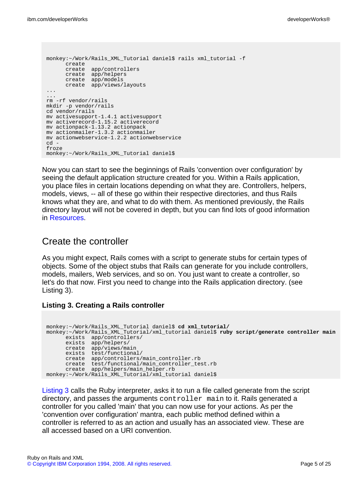```
monkey:~/Work/Rails_XML_Tutorial daniel$ rails xml_tutorial -f
      create
      create app/controllers
      create app/helpers
      create app/models
      create app/views/layouts
...
...
rm -rf vendor/rails
mkdir -p vendor/rails
cd vendor/rails
mv activesupport-1.4.1 activesupport
mv activerecord-1.15.2 activerecord
mv actionpack-1.13.2 actionpack
mv actionmailer-1.3.2 actionmailer
mv actionwebservice-1.2.2 actionwebservice
cd -
froze
monkey:~/Work/Rails_XML_Tutorial daniel$
```
Now you can start to see the beginnings of Rails 'convention over configuration' by seeing the default application structure created for you. Within a Rails application, you place files in certain locations depending on what they are. Controllers, helpers, models, views, -- all of these go within their respective directories, and thus Rails knows what they are, and what to do with them. As mentioned previously, the Rails directory layout will not be covered in depth, but you can find lots of good information in [Resources.](#page-22-0)

### Create the controller

As you might expect, Rails comes with a script to generate stubs for certain types of objects. Some of the object stubs that Rails can generate for you include controllers, models, mailers, Web services, and so on. You just want to create a controller, so let's do that now. First you need to change into the Rails application directory. (see Listing 3).

#### <span id="page-4-0"></span>**Listing 3. Creating a Rails controller**

```
monkey:~/Work/Rails_XML_Tutorial daniel$ cd xml_tutorial/
monkey:~/Work/Rails_XML_Tutorial/xml_tutorial daniel$ ruby script/generate controller main
      exists app/controllers/
      exists app/helpers/
     create app/views/main
     exists test/functional/
      create app/controllers/main_controller.rb
      create test/functional/main_controller_test.rb
      create app/helpers/main_helper.rb
monkey:~/Work/Rails_XML_Tutorial/xml_tutorial daniel$
```
[Listing 3](#page-4-0) calls the Ruby interpreter, asks it to run a file called generate from the script directory, and passes the arguments controller main to it. Rails generated a controller for you called 'main' that you can now use for your actions. As per the 'convention over configuration' mantra, each public method defined within a controller is referred to as an action and usually has an associated view. These are all accessed based on a URI convention.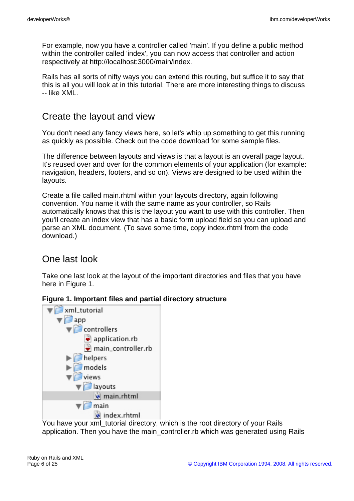For example, now you have a controller called 'main'. If you define a public method within the controller called 'index', you can now access that controller and action respectively at http://localhost:3000/main/index.

Rails has all sorts of nifty ways you can extend this routing, but suffice it to say that this is all you will look at in this tutorial. There are more interesting things to discuss -- like XML.

### Create the layout and view

You don't need any fancy views here, so let's whip up something to get this running as quickly as possible. Check out the code download for some sample files.

The difference between layouts and views is that a layout is an overall page layout. It's reused over and over for the common elements of your application (for example: navigation, headers, footers, and so on). Views are designed to be used within the layouts.

Create a file called main.rhtml within your layouts directory, again following convention. You name it with the same name as your controller, so Rails automatically knows that this is the layout you want to use with this controller. Then you'll create an index view that has a basic form upload field so you can upload and parse an XML document. (To save some time, copy index.rhtml from the code download.)

## One last look

Take one last look at the layout of the important directories and files that you have here in Figure 1.

#### **Figure 1. Important files and partial directory structure**



You have your xml tutorial directory, which is the root directory of your Rails application. Then you have the main\_controller.rb which was generated using Rails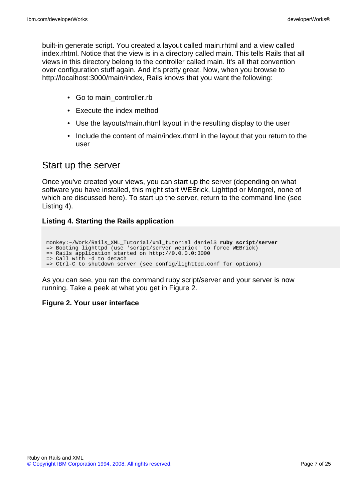built-in generate script. You created a layout called main.rhtml and a view called index.rhtml. Notice that the view is in a directory called main. This tells Rails that all views in this directory belong to the controller called main. It's all that convention over configuration stuff again. And it's pretty great. Now, when you browse to http://localhost:3000/main/index, Rails knows that you want the following:

- Go to main controller.rb
- Execute the index method
- Use the layouts/main.rhtml layout in the resulting display to the user
- Include the content of main/index.rhtml in the layout that you return to the user

### <span id="page-6-0"></span>Start up the server

Once you've created your views, you can start up the server (depending on what software you have installed, this might start WEBrick, Lighttpd or Mongrel, none of which are discussed here). To start up the server, return to the command line (see Listing 4).

#### **Listing 4. Starting the Rails application**

```
monkey:~/Work/Rails_XML_Tutorial/xml_tutorial daniel$ ruby script/server
=> Booting lighttpd (use 'script/server webrick' to force WEBrick)
=> Rails application started on http://0.0.0.0:3000
=> Call with -d to detach
=> Ctrl-C to shutdown server (see config/lighttpd.conf for options)
```
As you can see, you ran the command ruby script/server and your server is now running. Take a peek at what you get in Figure 2.

#### **Figure 2. Your user interface**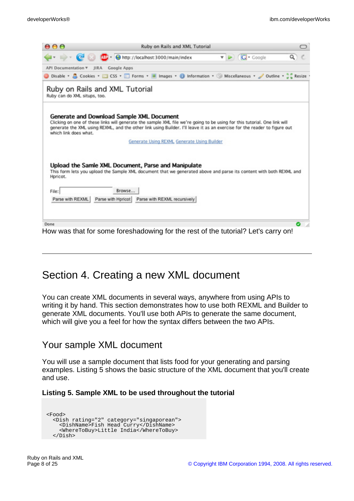| 000                          | Ruby on Rails and XML Tutorial                                                                                                                                                                                                                                                                      |   |
|------------------------------|-----------------------------------------------------------------------------------------------------------------------------------------------------------------------------------------------------------------------------------------------------------------------------------------------------|---|
|                              | $\bullet$ $\bullet$ $\bullet$ $\bullet$ Google<br>00 - http://localhost:3000/main/index<br>Q                                                                                                                                                                                                        |   |
| <b>API Documentation v</b>   | JIRA Google Apps                                                                                                                                                                                                                                                                                    |   |
|                              | Disable v & Cookies v and CSS v and Forms v all Images v 10 Information v 30 Miscellaneous v / Outline v at Resize                                                                                                                                                                                  |   |
| Ruby can do XML situps, too. | Ruby on Rails and XML Tutorial                                                                                                                                                                                                                                                                      |   |
| which link does what.        | Generate and Download Sample XML Document<br>Clicking on one of these links will generate the sample XML file we're going to be using for this tutorial. One link will<br>generate the XML using REXML, and the other link using Builder. I'll leave it as an exercise for the reader to figure out |   |
|                              | Generate Using REXML Generate Using Builder                                                                                                                                                                                                                                                         |   |
| Hpricot.                     | Upload the Samle XML Document, Parse and Manipulate<br>This form lets you upload the Sample XML document that we generated above and parse its content with both REXML and                                                                                                                          |   |
| File:                        | Browse                                                                                                                                                                                                                                                                                              |   |
| Parse with REXML             | Parse with Hpricot   Parse with REXML recursively                                                                                                                                                                                                                                                   |   |
|                              |                                                                                                                                                                                                                                                                                                     |   |
| Done                         |                                                                                                                                                                                                                                                                                                     | Θ |
|                              | How was that for some foreshadowing for the rest of the tutorial? Let's carry on!                                                                                                                                                                                                                   |   |

## Section 4. Creating a new XML document

You can create XML documents in several ways, anywhere from using APIs to writing it by hand. This section demonstrates how to use both REXML and Builder to generate XML documents. You'll use both APIs to generate the same document, which will give you a feel for how the syntax differs between the two APIs.

### Your sample XML document

You will use a sample document that lists food for your generating and parsing examples. Listing 5 shows the basic structure of the XML document that you'll create and use.

#### **Listing 5. Sample XML to be used throughout the tutorial**

```
<Food>
 <Dish rating="2" category="singaporean">
    <DishName>Fish Head Curry</DishName>
    <WhereToBuy>Little India</WhereToBuy>
  </Dish>
```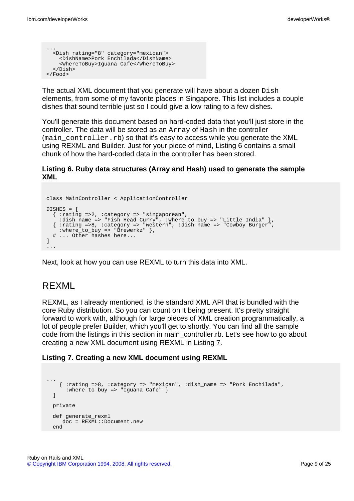```
...
  <Dish rating="8" category="mexican">
   <DishName>Pork Enchilada</DishName>
    <WhereToBuy>Iguana Cafe</WhereToBuy>
  </Dish>
</Food>
```
The actual XML document that you generate will have about a dozen Dish elements, from some of my favorite places in Singapore. This list includes a couple dishes that sound terrible just so I could give a low rating to a few dishes.

You'll generate this document based on hard-coded data that you'll just store in the controller. The data will be stored as an Array of Hash in the controller (main\_controller.rb) so that it's easy to access while you generate the XML using REXML and Builder. Just for your piece of mind, Listing 6 contains a small chunk of how the hard-coded data in the controller has been stored.

#### **Listing 6. Ruby data structures (Array and Hash) used to generate the sample XML**

```
class MainController < ApplicationController
DTSHES = [{ :rating =>2, :category => "singaporean",
    :dish_name => "Fish Head Curry", :where_to_buy => "Little India" },
  { :rating =>8, :category => "western", :dish_name => "Cowboy Burger",
    : where_to_buy => "Brewerkz" },
  # ... Other hashes here...
]
...
```
Next, look at how you can use REXML to turn this data into XML.

## REXML

REXML, as I already mentioned, is the standard XML API that is bundled with the core Ruby distribution. So you can count on it being present. It's pretty straight forward to work with, although for large pieces of XML creation programmatically, a lot of people prefer Builder, which you'll get to shortly. You can find all the sample code from the listings in this section in main\_controller.rb. Let's see how to go about creating a new XML document using REXML in Listing 7.

#### **Listing 7. Creating a new XML document using REXML**

```
...
   { :rating =>8, :category => "mexican", :dish_name => "Pork Enchilada",
     :where_to_buy => "Iguana Cafe" }
 ]
 private
 def generate_rexml
    doc = REXML::Document.new
 end
```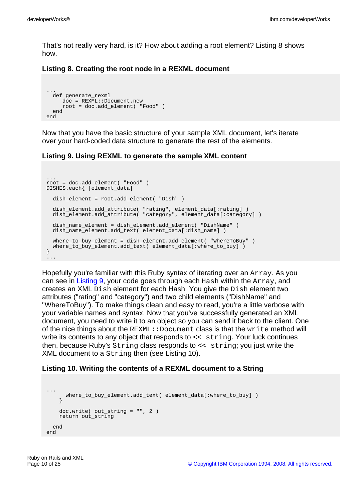That's not really very hard, is it? How about adding a root element? Listing 8 shows how.

#### **Listing 8. Creating the root node in a REXML document**

```
...
  def generate_rexml
    doc = REXML::Document.new
    root = doc.add_element( "Food" )
  end
end
```
Now that you have the basic structure of your sample XML document, let's iterate over your hard-coded data structure to generate the rest of the elements.

#### <span id="page-9-0"></span>**Listing 9. Using REXML to generate the sample XML content**

```
...
root = doc.add_element( "Food" )
DISHES.each{ |element_data|
 dish_element = root.add_element( "Dish" )
 dish_element.add_attribute( "rating", element_data[:rating] )
 dish_element.add_attribute( "category", element_data[:category] )
 dish_name_element = dish_element.add_element( "DishName" )
 dish_name_element.add_text( element_data[:dish_name] )
 where_to_buy_element = dish_element.add_element( "WhereToBuy" )
 where_to_buy_element.add_text( element_data[:where_to_buy] )
}
...
```
Hopefully you're familiar with this Ruby syntax of iterating over an Array. As you can see in [Listing 9,](#page-9-0) your code goes through each Hash within the Array, and creates an XML Dish element for each Hash. You give the Dish element two attributes ("rating" and "category") and two child elements ("DishName" and "WhereToBuy"). To make things clean and easy to read, you're a little verbose with your variable names and syntax. Now that you've successfully generated an XML document, you need to write it to an object so you can send it back to the client. One of the nice things about the  $REXML::Document$  class is that the write method will write its contents to any object that responds to << string. Your luck continues then, because Ruby's String class responds to << string; you just write the XML document to a String then (see Listing 10).

#### <span id="page-9-1"></span>**Listing 10. Writing the contents of a REXML document to a String**

```
...
     where_to_buy_element.add_text( element_data[:where_to_buy] )
    }
   doc.write( out_string = "", 2 )
   return out_string
  end
end
```
Ruby on Rails and XML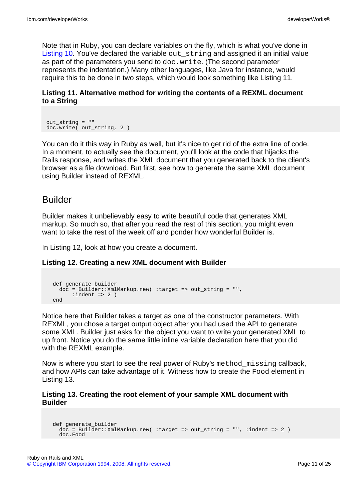Note that in Ruby, you can declare variables on the fly, which is what you've done in [Listing 10](#page-9-1). You've declared the variable out\_string and assigned it an initial value as part of the parameters you send to doc.write. (The second parameter represents the indentation.) Many other languages, like Java for instance, would require this to be done in two steps, which would look something like Listing 11.

#### **Listing 11. Alternative method for writing the contents of a REXML document to a String**

```
out_string = ""
doc.write( out_string, 2 )
```
You can do it this way in Ruby as well, but it's nice to get rid of the extra line of code. In a moment, to actually see the document, you'll look at the code that hijacks the Rails response, and writes the XML document that you generated back to the client's browser as a file download. But first, see how to generate the same XML document using Builder instead of REXML.

### Builder

Builder makes it unbelievably easy to write beautiful code that generates XML markup. So much so, that after you read the rest of this section, you might even want to take the rest of the week off and ponder how wonderful Builder is.

In Listing 12, look at how you create a document.

#### **Listing 12. Creating a new XML document with Builder**

```
def generate_builder
 doc = Builder::XmlMarkup.new( :target => out_string = "",
     :indent => 2)
end
```
Notice here that Builder takes a target as one of the constructor parameters. With REXML, you chose a target output object after you had used the API to generate some XML. Builder just asks for the object you want to write your generated XML to up front. Notice you do the same little inline variable declaration here that you did with the REXML example.

Now is where you start to see the real power of Ruby's method\_missing callback, and how APIs can take advantage of it. Witness how to create the Food element in Listing 13.

#### **Listing 13. Creating the root element of your sample XML document with Builder**

```
def generate_builder
 doc = Builder::XmlMarkup.new( :target => out_string = "", :indent => 2 )
  doc.Food
```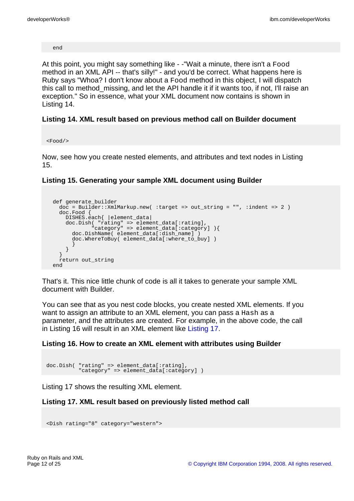end

At this point, you might say something like - -"Wait a minute, there isn't a Food method in an XML API -- that's silly!" - and you'd be correct. What happens here is Ruby says "Whoa? I don't know about a Food method in this object, I will dispatch this call to method missing, and let the API handle it if it wants too, if not, I'll raise an exception." So in essence, what your XML document now contains is shown in Listing 14.

#### **Listing 14. XML result based on previous method call on Builder document**

 $<$ Food/ $>$ 

Now, see how you create nested elements, and attributes and text nodes in Listing 15.

#### **Listing 15. Generating your sample XML document using Builder**

```
def generate_builder
  doc = Builder::XmlMarkup.new( :target => out_string = "", :indent => 2 )
  doc.Food {
    DISHES.each{ |element_data|
    doc.Dish( "rating" => element_data[:rating],
            "category" => element_data[:category] ){
      doc.DishName( element_data[:dish_name] )
      doc.WhereToBuy( element data[:where to buy] )
      }
    }
  }
  return out_string
end
```
That's it. This nice little chunk of code is all it takes to generate your sample XML document with Builder.

You can see that as you nest code blocks, you create nested XML elements. If you want to assign an attribute to an XML element, you can pass a Hash as a parameter, and the attributes are created. For example, in the above code, the call in Listing 16 will result in an XML element like [Listing 17.](#page-11-0)

#### **Listing 16. How to create an XML element with attributes using Builder**

```
doc.Dish( "rating" => element_data[:rating],
          "category" => element_data[:category] )
```
Listing 17 shows the resulting XML element.

#### <span id="page-11-0"></span>**Listing 17. XML result based on previously listed method call**

```
<Dish rating="8" category="western">
```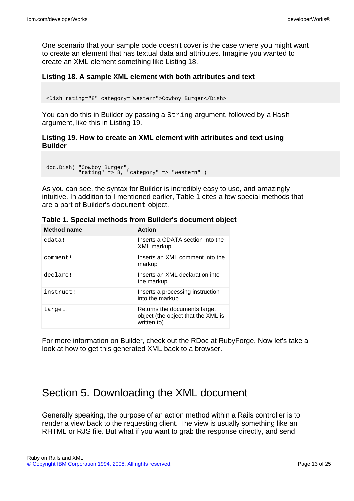One scenario that your sample code doesn't cover is the case where you might want to create an element that has textual data and attributes. Imagine you wanted to create an XML element something like Listing 18.

#### **Listing 18. A sample XML element with both attributes and text**

<Dish rating="8" category="western">Cowboy Burger</Dish>

You can do this in Builder by passing a  $String$  argument, followed by a Hash argument, like this in Listing 19.

#### **Listing 19. How to create an XML element with attributes and text using Builder**

```
doc.Dish( "Cowboy Burger",
          "rating" => 8, "category" => "western" )
```
As you can see, the syntax for Builder is incredibly easy to use, and amazingly intuitive. In addition to I mentioned earlier, Table 1 cites a few special methods that are a part of Builder's document object.

|  | Table 1. Special methods from Builder's document object |  |  |
|--|---------------------------------------------------------|--|--|
|  |                                                         |  |  |

| <b>Method name</b> | <b>Action</b>                                                                     |
|--------------------|-----------------------------------------------------------------------------------|
| cdata!             | Inserts a CDATA section into the<br><b>XML</b> markup                             |
| comment!           | Inserts an XML comment into the<br>markup                                         |
| declare!           | Inserts an XML declaration into<br>the markup                                     |
| instruct!          | Inserts a processing instruction<br>into the markup                               |
| target!            | Returns the documents target<br>object (the object that the XML is<br>written to) |

For more information on Builder, check out the RDoc at RubyForge. Now let's take a look at how to get this generated XML back to a browser.

## Section 5. Downloading the XML document

Generally speaking, the purpose of an action method within a Rails controller is to render a view back to the requesting client. The view is usually something like an RHTML or RJS file. But what if you want to grab the response directly, and send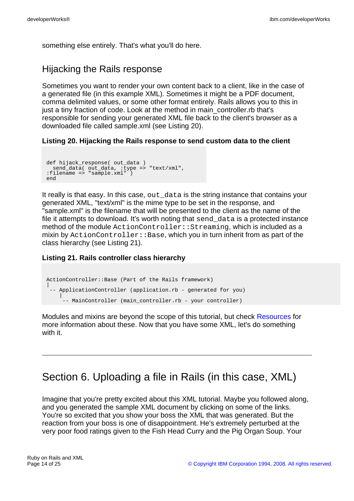something else entirely. That's what you'll do here.

## Hijacking the Rails response

Sometimes you want to render your own content back to a client, like in the case of a generated file (in this example XML). Sometimes it might be a PDF document, comma delimited values, or some other format entirely. Rails allows you to this in just a tiny fraction of code. Look at the method in main\_controller.rb that's responsible for sending your generated XML file back to the client's browser as a downloaded file called sample.xml (see Listing 20).

#### **Listing 20. Hijacking the Rails response to send custom data to the client**

```
def hijack_response( out_data )
  send_data( out_data, :type => "text/xml",
:filename => "sample.xml" )
end
```
It really is that easy. In this case, out\_data is the string instance that contains your generated XML, "text/xml" is the mime type to be set in the response, and "sample.xml" is the filename that will be presented to the client as the name of the file it attempts to download. It's worth noting that send\_data is a protected instance method of the module ActionController::Streaming, which is included as a mixin by  $ActionController::Base$ , which you in turn inherit from as part of the class hierarchy (see Listing 21).

#### **Listing 21. Rails controller class hierarchy**

```
ActionController::Base (Part of the Rails framework)
|
 -- ApplicationController (application.rb - generated for you)
    |
     -- MainController (main_controller.rb - your controller)
```
Modules and mixins are beyond the scope of this tutorial, but check [Resources](#page-22-0) for more information about these. Now that you have some XML, let's do something with it.

# Section 6. Uploading a file in Rails (in this case, XML)

Imagine that you're pretty excited about this XML tutorial. Maybe you followed along, and you generated the sample XML document by clicking on some of the links. You're so excited that you show your boss the XML that was generated. But the reaction from your boss is one of disappointment. He's extremely perturbed at the very poor food ratings given to the Fish Head Curry and the Pig Organ Soup. Your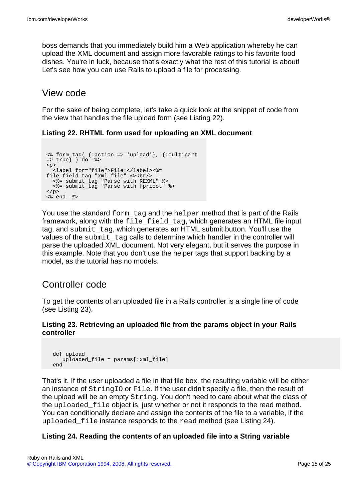boss demands that you immediately build him a Web application whereby he can upload the XML document and assign more favorable ratings to his favorite food dishes. You're in luck, because that's exactly what the rest of this tutorial is about! Let's see how you can use Rails to upload a file for processing.

### View code

For the sake of being complete, let's take a quick look at the snippet of code from the view that handles the file upload form (see Listing 22).

#### **Listing 22. RHTML form used for uploading an XML document**

```
<% form_tag( {:action => 'upload'}, {:multipart
= \frac{1}{2} \frac{1}{2} \frac{1}{2} \frac{1}{2} \frac{1}{2} \frac{1}{2} \frac{1}{2} \frac{1}{2} \frac{1}{2} \frac{1}{2} \frac{1}{2} \frac{1}{2} \frac{1}{2} \frac{1}{2} \frac{1}{2} \frac{1}{2} \frac{1}{2} \frac{1}{2} \frac{1}{2} \frac{1}{2} \frac{1}{2} \frac{1}{2<p>
    <label for="file">File:</label><%=
file_field_tag "xml_file" %><br/>
     <%= submit_tag "Parse with REXML" %>
     <%= submit_tag "Parse with Hpricot" %>
\langle /p>
\langle \ast end -\frac{1}{6}
```
You use the standard  $form$  tag and the helper method that is part of the Rails framework, along with the file\_field\_tag, which generates an HTML file input tag, and submit\_tag, which generates an HTML submit button. You'll use the values of the submit\_tag calls to determine which handler in the controller will parse the uploaded XML document. Not very elegant, but it serves the purpose in this example. Note that you don't use the helper tags that support backing by a model, as the tutorial has no models.

## Controller code

To get the contents of an uploaded file in a Rails controller is a single line of code (see Listing 23).

#### **Listing 23. Retrieving an uploaded file from the params object in your Rails controller**

```
def upload
  uploaded_file = params[:xml_file]
end
```
That's it. If the user uploaded a file in that file box, the resulting variable will be either an instance of StringIO or File. If the user didn't specify a file, then the result of the upload will be an empty String. You don't need to care about what the class of the uploaded\_file object is, just whether or not it responds to the read method. You can conditionally declare and assign the contents of the file to a variable, if the uploaded\_file instance responds to the read method (see Listing 24).

#### **Listing 24. Reading the contents of an uploaded file into a String variable**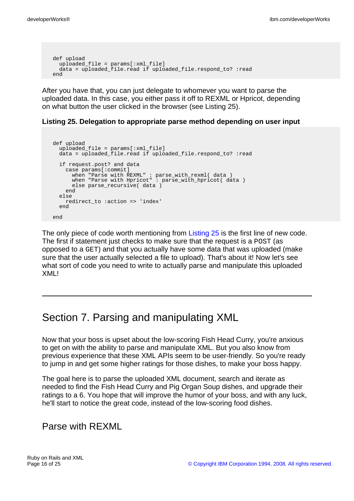```
def upload
 uploaded_file = params[:xml_file]
 data = uploaded_file.read if uploaded_file.respond_to? :read
end
```
After you have that, you can just delegate to whomever you want to parse the uploaded data. In this case, you either pass it off to REXML or Hpricot, depending on what button the user clicked in the browser (see Listing 25).

#### <span id="page-15-0"></span>**Listing 25. Delegation to appropriate parse method depending on user input**

```
def upload
 uploaded file = params[:xml file]
 data = uploaded file.read if uploaded file.respond to? :read
 if request.post? and data
   case params[:commit]
      when "Parse with REXML" : parse_with_rexml( data )
      when "Parse with Hpricot" : parse_with_hpricot( data )
     else parse_recursive( data )
   end
  else
   redirect_to :action => 'index'
  end
end
```
The only piece of code worth mentioning from [Listing 25](#page-15-0) is the first line of new code. The first if statement just checks to make sure that the request is a POST (as opposed to a GET) and that you actually have some data that was uploaded (make sure that the user actually selected a file to upload). That's about it! Now let's see what sort of code you need to write to actually parse and manipulate this uploaded XML!

## Section 7. Parsing and manipulating XML

Now that your boss is upset about the low-scoring Fish Head Curry, you're anxious to get on with the ability to parse and manipulate XML. But you also know from previous experience that these XML APIs seem to be user-friendly. So you're ready to jump in and get some higher ratings for those dishes, to make your boss happy.

The goal here is to parse the uploaded XML document, search and iterate as needed to find the Fish Head Curry and Pig Organ Soup dishes, and upgrade their ratings to a 6. You hope that will improve the humor of your boss, and with any luck, he'll start to notice the great code, instead of the low-scoring food dishes.

### Parse with REXML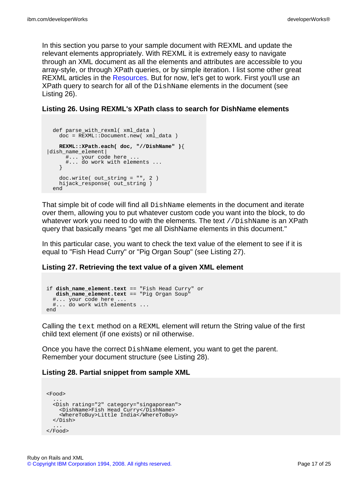In this section you parse to your sample document with REXML and update the relevant elements appropriately. With REXML it is extremely easy to navigate through an XML document as all the elements and attributes are accessible to you array-style, or through XPath queries, or by simple iteration. I list some other great REXML articles in the [Resources.](#page-22-0) But for now, let's get to work. First you'll use an XPath query to search for all of the DishName elements in the document (see Listing 26).

#### **Listing 26. Using REXML's XPath class to search for DishName elements**

```
def parse with rexml( xml data )
   doc = REXML::Document.new( xml_data )
   REXML::XPath.each( doc, "//DishName" ){
|dish_name_element|
      #... your code here ...
      #... do work with elements ...
   }
   doc.write( out_string = "", 2 )
   hijack_response( out_string )
 end
```
That simple bit of code will find all DishName elements in the document and iterate over them, allowing you to put whatever custom code you want into the block, to do whatever work you need to do with the elements. The text //DishName is an XPath query that basically means "get me all DishName elements in this document."

In this particular case, you want to check the text value of the element to see if it is equal to "Fish Head Curry" or "Pig Organ Soup" (see Listing 27).

#### **Listing 27. Retrieving the text value of a given XML element**

```
if dish_name_element.text == "Fish Head Curry" or
  dish_name_element.text == "Pig Organ Soup"
  #... your code here ...
  #... do work with elements ...
end
```
Calling the text method on a REXML element will return the String value of the first child text element (if one exists) or nil otherwise.

Once you have the correct DishName element, you want to get the parent. Remember your document structure (see Listing 28).

#### **Listing 28. Partial snippet from sample XML**

```
<Food>
  ...
  <Dish rating="2" category="singaporean">
    <DishName>Fish Head Curry</DishName>
    <WhereToBuy>Little India</WhereToBuy>
  </Dish>
  ...
</Food>
```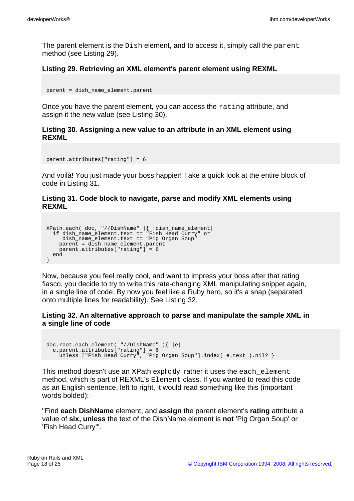The parent element is the Dish element, and to access it, simply call the parent method (see Listing 29).

#### **Listing 29. Retrieving an XML element's parent element using REXML**

```
parent = dish_name_element.parent
```
Once you have the parent element, you can access the rating attribute, and assign it the new value (see Listing 30).

#### **Listing 30. Assigning a new value to an attribute in an XML element using REXML**

```
parent.attributes["rating"] = 6
```
And voilà! You just made your boss happier! Take a quick look at the entire block of code in Listing 31.

#### **Listing 31. Code block to navigate, parse and modify XML elements using REXML**

```
XPath.each( doc, "//DishName" ){ |dish_name_element|
  if dish_name_element.text == "Fish Head Curry" or
    dish name_element.text == "Pig Organ Soup"
    parent = dish_name_element.parent
    parent.attributes["rating"] = 6
  end
}
```
Now, because you feel really cool, and want to impress your boss after that rating fiasco, you decide to try to write this rate-changing XML manipulating snippet again, in a single line of code. By now you feel like a Ruby hero, so it's a snap (separated onto multiple lines for readability). See Listing 32.

#### **Listing 32. An alternative approach to parse and manipulate the sample XML in a single line of code**

```
doc.root.each_element( "//DishName" ){ |e|
  e.parent.attributes["rating"] = 6
    unless ["Fish Head Curry", "Pig Organ Soup"].index( e.text ).nil? }
```
This method doesn't use an XPath explicitly; rather it uses the each element method, which is part of REXML's Element class. If you wanted to read this code as an English sentence, left to right, it would read something like this (important words bolded):

"Find **each DishName** element, and **assign** the parent element's **rating** attribute a value of **six, unless** the text of the DishName element is **not** 'Pig Organ Soup' or 'Fish Head Curry'".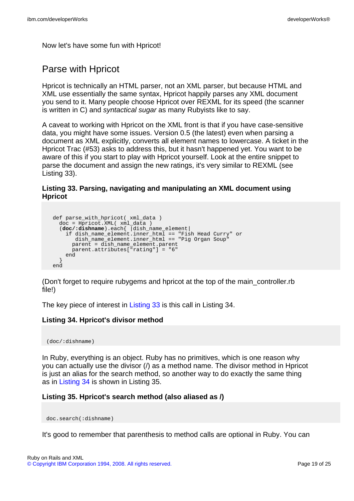Now let's have some fun with Hpricot!

## Parse with Hpricot

Hpricot is technically an HTML parser, not an XML parser, but because HTML and XML use essentially the same syntax, Hpricot happily parses any XML document you send to it. Many people choose Hpricot over REXML for its speed (the scanner is written in C) and syntactical sugar as many Rubyists like to say.

A caveat to working with Hpricot on the XML front is that if you have case-sensitive data, you might have some issues. Version 0.5 (the latest) even when parsing a document as XML explicitly, converts all element names to lowercase. A ticket in the Hpricot Trac (#53) asks to address this, but it hasn't happened yet. You want to be aware of this if you start to play with Hpricot yourself. Look at the entire snippet to parse the document and assign the new ratings, it's very similar to REXML (see Listing 33).

#### <span id="page-18-0"></span>**Listing 33. Parsing, navigating and manipulating an XML document using Hpricot**

```
def parse_with_hpricot( xml_data )
  \overline{\text{doc}} = Hpricot. XML( xml data )
  (doc/:dishname).each{ |dish_name_element|
    if dish_name_element.inner_html == "Fish Head Curry" or
        dish_name_element.inner_html == "Pig Organ Soup"
      parent = dish_name_element.parent
      parent.attributes["rating"] = "6"
    end
  }
end
```
(Don't forget to require rubygems and hpricot at the top of the main\_controller.rb file!)

The key piece of interest in [Listing 33](#page-18-0) is this call in Listing 34.

#### <span id="page-18-1"></span>**Listing 34. Hpricot's divisor method**

(doc/:dishname)

In Ruby, everything is an object. Ruby has no primitives, which is one reason why you can actually use the divisor (/) as a method name. The divisor method in Hpricot is just an alias for the search method, so another way to do exactly the same thing as in [Listing 34](#page-18-1) is shown in Listing 35.

#### **Listing 35. Hpricot's search method (also aliased as /)**

doc.search(:dishname)

It's good to remember that parenthesis to method calls are optional in Ruby. You can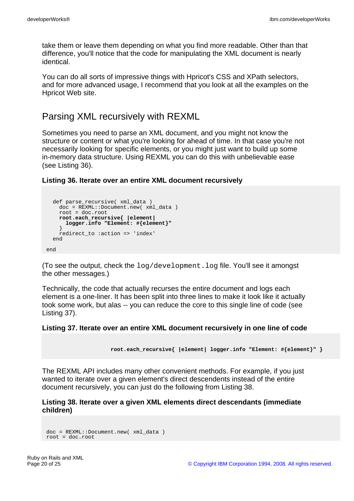take them or leave them depending on what you find more readable. Other than that difference, you'll notice that the code for manipulating the XML document is nearly identical.

You can do all sorts of impressive things with Hpricot's CSS and XPath selectors, and for more advanced usage, I recommend that you look at all the examples on the Hpricot Web site.

### Parsing XML recursively with REXML

Sometimes you need to parse an XML document, and you might not know the structure or content or what you're looking for ahead of time. In that case you're not necessarily looking for specific elements, or you might just want to build up some in-memory data structure. Using REXML you can do this with unbelievable ease (see Listing 36).

**Listing 36. Iterate over an entire XML document recursively**

```
def parse_recursive( xml_data )
    \overline{doc} = REXML::Document.new( xml data )
   root = doc.root
    root.each_recursive{ |element|
      logger.info "Element: #{element}"
    }
    redirect_to :action => 'index'
  end
end
```
(To see the output, check the log/development.log file. You'll see it amongst the other messages.)

Technically, the code that actually recurses the entire document and logs each element is a one-liner. It has been split into three lines to make it look like it actually took some work, but alas -- you can reduce the core to this single line of code (see Listing 37).

#### **Listing 37. Iterate over an entire XML document recursively in one line of code**

```
root.each_recursive{ |element| logger.info "Element: #{element}" }
```
The REXML API includes many other convenient methods. For example, if you just wanted to iterate over a given element's direct descendents instead of the entire document recursively, you can just do the following from Listing 38.

#### **Listing 38. Iterate over a given XML elements direct descendants (immediate children)**

```
doc = REXML::Document.new( xml_data )
root = doc.root
```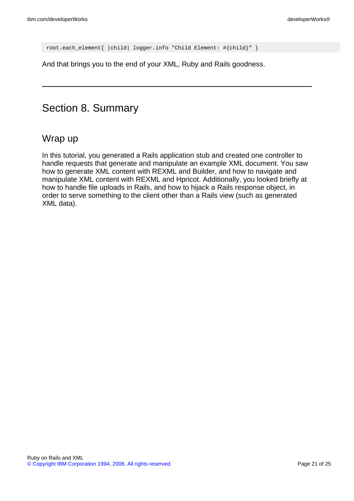root.each\_element{ |child| logger.info "Child Element: #{child}" }

And that brings you to the end of your XML, Ruby and Rails goodness.

# Section 8. Summary

### Wrap up

In this tutorial, you generated a Rails application stub and created one controller to handle requests that generate and manipulate an example XML document. You saw how to generate XML content with REXML and Builder, and how to navigate and manipulate XML content with REXML and Hpricot. Additionally, you looked briefly at how to handle file uploads in Rails, and how to hijack a Rails response object, in order to serve something to the client other than a Rails view (such as generated XML data).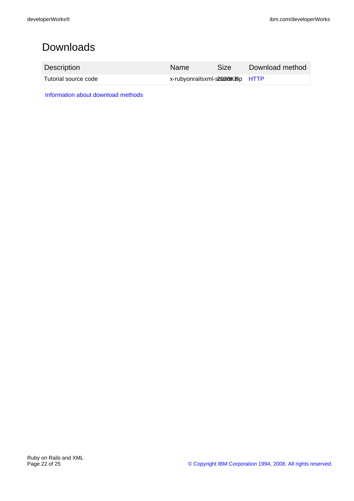# Downloads

| Description          | <b>Name</b>                      | <b>Size</b> | Download method |
|----------------------|----------------------------------|-------------|-----------------|
| Tutorial source code | x-rubyonrailsxml-s200666Bip HTTP |             |                 |

[Information about download methods](http://www.ibm.com/developerworks/library/whichmethod.html)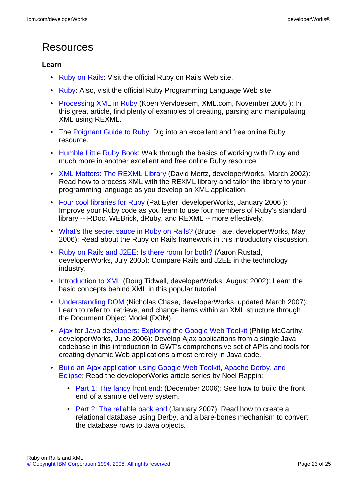# <span id="page-22-0"></span>Resources

#### **Learn**

- [Ruby on Rails:](http://www.rubyonrails.com) Visit the official Ruby on Rails Web site.
- [Ruby](http://www.ruby-lang.org): Also, visit the official Ruby Programming Language Web site.
- [Processing XML in Ruby](http://www.xml.com/lpt/a/1626) (Koen Vervloesem, XML.com, November 2005 ): In this great article, find plenty of examples of creating, parsing and manipulating XML using REXML.
- The [Poignant Guide to Ruby:](http://poignantguide.net/ruby/) Dig into an excellent and free online Ruby resource.
- [Humble Little Ruby Book](http://www.infoq.com/minibooks/ruby/): Walk through the basics of working with Ruby and much more in another excellent and free online Ruby resource.
- [XML Matters: The REXML Library](http://www.ibm.com/developerworks/xml/library/x-matters18.html) (David Mertz, developerWorks, March 2002): Read how to process XML with the REXML library and tailor the library to your programming language as you develop an XML application.
- [Four cool libraries for Ruby](http://www.ibm.com/developerworks/edu/os-dw-os-ruby3-i.html) (Pat Eyler, developerWorks, January 2006 ): Improve your Ruby code as you learn to use four members of Ruby's standard library -- RDoc, WEBrick, dRuby, and REXML -- more effectively.
- [What's the secret sauce in Ruby on Rails?](http://www.ibm.com/developerworks/java/library/j-cb05096.html) (Bruce Tate, developerWorks, May 2006): Read about the Ruby on Rails framework in this introductory discussion.
- [Ruby on Rails and J2EE: Is there room for both?](http://www.ibm.com/developerworks/web/library/wa-rubyonrails/) (Aaron Rustad, developerWorks, July 2005): Compare Rails and J2EE in the technology industry.
- [Introduction to XML](http://www.ibm.com/developerworks/edu/x-dw-xmlintro-i.html) (Doug Tidwell, developerWorks, August 2002): Learn the basic concepts behind XML in this popular tutorial.
- [Understanding DOM](http://www.ibm.com/developerworks/edu/x-dw-xudom-i.html) (Nicholas Chase, developerWorks, updated March 2007): Learn to refer to, retrieve, and change items within an XML structure through the Document Object Model (DOM).
- [Ajax for Java developers: Exploring the Google Web Toolkit](http://www.ibm.com/developerworks/java/library/j-ajax4/) (Philip McCarthy, developerWorks, June 2006): Develop Ajax applications from a single Java codebase in this introduction to GWT's comprehensive set of APIs and tools for creating dynamic Web applications almost entirely in Java code.
- [Build an Ajax application using Google Web Toolkit, Apache Derby, and](http://www.ibm.com/developerworks/views/opensource/libraryview.jsp?search_by=build+an+ajax+application+using+google+web+toolkit+apache+derby+and+eclipse) Eclipse: Read the developerWorks article series by Noel Rappin:
	- [Part 1: The fancy front end:](http://www.ibm.com/developerworks/library/os-ad-gwt1/index.html) (December 2006): See how to build the front end of a sample delivery system.
	- [Part 2: The reliable back end](http://www.ibm.com/developerworks/library/os-ad-gwt2/index.html) (January 2007): Read how to create a relational database using Derby, and a bare-bones mechanism to convert the database rows to Java objects.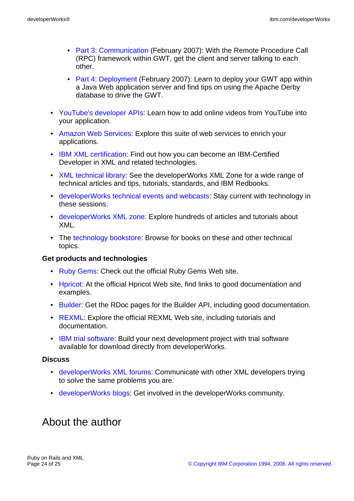- [Part 3: Communication](http://www.ibm.com/developerworks/library/os-ad-gwt3/index.html) (February 2007): With the Remote Procedure Call (RPC) framework within GWT, get the client and server talking to each other.
- [Part 4: Deployment](http://www.ibm.com/developerworks/library/os-ad-gwt4/index.html) (February 2007): Learn to deploy your GWT app within a Java Web application server and find tips on using the Apache Derby database to drive the GWT.
- [YouTube's developer APIs:](http://www.youtube.com/dev) Learn how to add online videos from YouTube into your application.
- [Amazon Web Services:](http://www.amazon.com/gp/browse.html?node=3435361) Explore this suite of web services to enrich your applications.
- [IBM XML certification:](http://www.ibm.com/certify/certs/xmsdreltop.shtml) Find out how you can become an IBM-Certified Developer in XML and related technologies.
- [XML technical library:](http://www.ibm.com/developerworks/views/xml/library.jsp) See the developerWorks XML Zone for a wide range of technical articles and tips, tutorials, standards, and IBM Redbooks.
- [developerWorks technical events and webcasts:](http://www.ibm.com/developerworks/offers/techbriefings/?S_TACT=105AGX06&S_CMP=art) Stay current with technology in these sessions.
- [developerWorks XML zone](http://www.ibm.com/developerworks/xml): Explore hundreds of articles and tutorials about XML.
- The [technology bookstore](http://www.ibm.com/developerworks/apps/SendTo?bookstore=safari): Browse for books on these and other technical topics.

#### **Get products and technologies**

- [Ruby Gems:](http://www.rubygems.org) Check out the official Ruby Gems Web site.
- [Hpricot](http://code.whytheluckystiff.net/hpricot/): At the official Hpricot Web site, find links to good documentation and examples.
- [Builder:](http://builder.rubyforge.org/) Get the RDoc pages for the Builder API, including good documentation.
- [REXML:](http://www.germane-software.com/software/rexml/) Explore the official REXML Web site, including tutorials and documentation.
- [IBM trial software:](http://www.ibm.com/developerworks/downloads/?S_TACT=105AGX06&S_CMP=art) Build your next development project with trial software available for download directly from developerWorks.

#### **Discuss**

- [developerWorks XML forums:](http://www.ibm.com/developerworks/forums/dw_xforums.jsp) Communicate with other XML developers trying to solve the same problems you are.
- [developerWorks blogs:](http://www.ibm.com/developerworks/blogs/) Get involved in the developerWorks community.

## <span id="page-23-0"></span>About the author